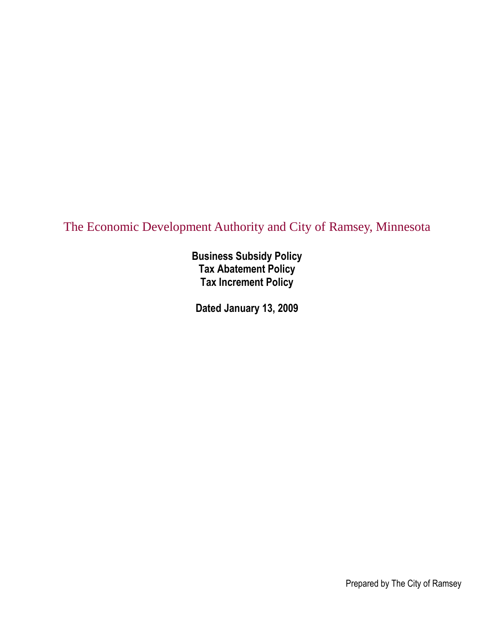# The Economic Development Authority and City of Ramsey, Minnesota

**Business Subsidy Policy Tax Abatement Policy Tax Increment Policy**

**Dated January 13, 2009**

Prepared by The City of Ramsey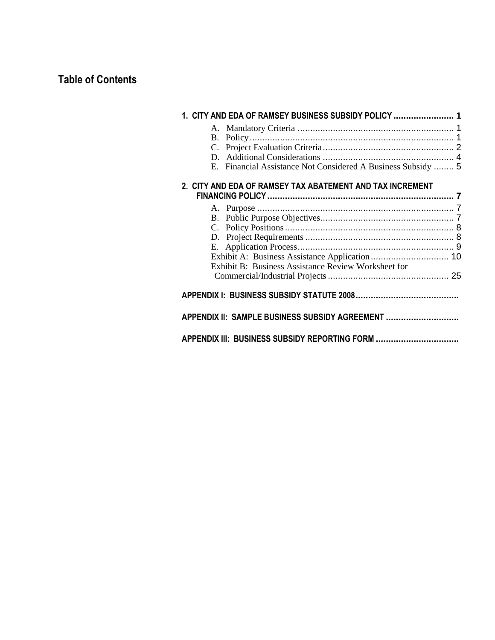# **Table of Contents**

|    | 1. CITY AND EDA OF RAMSEY BUSINESS SUBSIDY POLICY  1         |  |
|----|--------------------------------------------------------------|--|
|    |                                                              |  |
|    |                                                              |  |
|    |                                                              |  |
|    |                                                              |  |
|    | E. Financial Assistance Not Considered A Business Subsidy  5 |  |
|    | 2. CITY AND EDA OF RAMSEY TAX ABATEMENT AND TAX INCREMENT    |  |
|    |                                                              |  |
|    |                                                              |  |
| C. |                                                              |  |
|    |                                                              |  |
|    |                                                              |  |
|    |                                                              |  |
|    | Exhibit B: Business Assistance Review Worksheet for          |  |
|    |                                                              |  |
|    |                                                              |  |
|    | APPENDIX II: SAMPLE BUSINESS SUBSIDY AGREEMENT               |  |
|    | APPENDIX III: BUSINESS SUBSIDY REPORTING FORM                |  |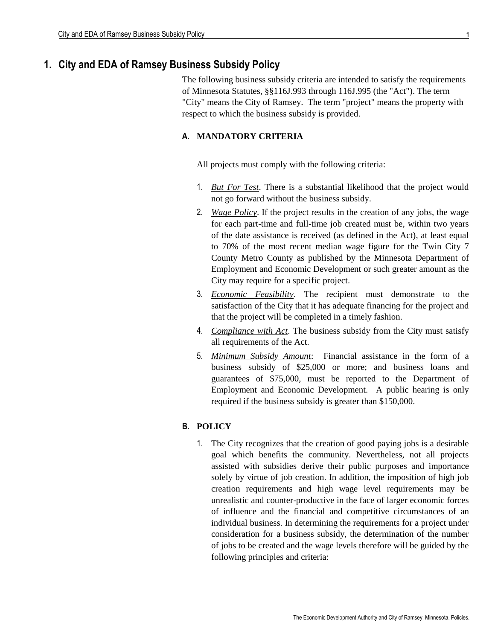# **1. City and EDA of Ramsey Business Subsidy Policy**

The following business subsidy criteria are intended to satisfy the requirements of Minnesota Statutes, §§116J.993 through 116J.995 (the "Act"). The term "City" means the City of Ramsey. The term "project" means the property with respect to which the business subsidy is provided.

# **A. MANDATORY CRITERIA**

All projects must comply with the following criteria:

- 1. *But For Test*. There is a substantial likelihood that the project would not go forward without the business subsidy.
- 2. *Wage Policy*. If the project results in the creation of any jobs, the wage for each part-time and full-time job created must be, within two years of the date assistance is received (as defined in the Act), at least equal to 70% of the most recent median wage figure for the Twin City 7 County Metro County as published by the Minnesota Department of Employment and Economic Development or such greater amount as the City may require for a specific project.
- 3. *Economic Feasibility*. The recipient must demonstrate to the satisfaction of the City that it has adequate financing for the project and that the project will be completed in a timely fashion.
- 4. *Compliance with Act*. The business subsidy from the City must satisfy all requirements of the Act.
- 5. *Minimum Subsidy Amount*: Financial assistance in the form of a business subsidy of \$25,000 or more; and business loans and guarantees of \$75,000, must be reported to the Department of Employment and Economic Development. A public hearing is only required if the business subsidy is greater than \$150,000.

# **B. POLICY**

1. The City recognizes that the creation of good paying jobs is a desirable goal which benefits the community. Nevertheless, not all projects assisted with subsidies derive their public purposes and importance solely by virtue of job creation. In addition, the imposition of high job creation requirements and high wage level requirements may be unrealistic and counter-productive in the face of larger economic forces of influence and the financial and competitive circumstances of an individual business. In determining the requirements for a project under consideration for a business subsidy, the determination of the number of jobs to be created and the wage levels therefore will be guided by the following principles and criteria: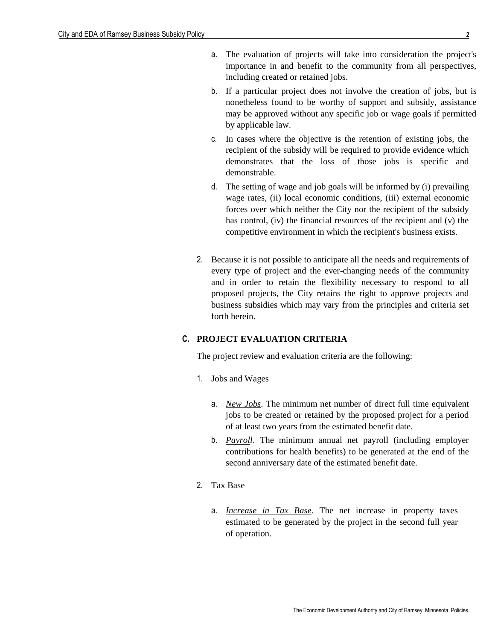- a. The evaluation of projects will take into consideration the project's importance in and benefit to the community from all perspectives, including created or retained jobs.
- b. If a particular project does not involve the creation of jobs, but is nonetheless found to be worthy of support and subsidy, assistance may be approved without any specific job or wage goals if permitted by applicable law.
- c. In cases where the objective is the retention of existing jobs, the recipient of the subsidy will be required to provide evidence which demonstrates that the loss of those jobs is specific and demonstrable.
- d. The setting of wage and job goals will be informed by (i) prevailing wage rates, (ii) local economic conditions, (iii) external economic forces over which neither the City nor the recipient of the subsidy has control, (iv) the financial resources of the recipient and (v) the competitive environment in which the recipient's business exists.
- 2. Because it is not possible to anticipate all the needs and requirements of every type of project and the ever-changing needs of the community and in order to retain the flexibility necessary to respond to all proposed projects, the City retains the right to approve projects and business subsidies which may vary from the principles and criteria set forth herein.

#### **C. PROJECT EVALUATION CRITERIA**

The project review and evaluation criteria are the following:

- 1. Jobs and Wages
	- a. *New Jobs*. The minimum net number of direct full time equivalent jobs to be created or retained by the proposed project for a period of at least two years from the estimated benefit date.
	- b. *Payroll*. The minimum annual net payroll (including employer contributions for health benefits) to be generated at the end of the second anniversary date of the estimated benefit date.
- 2. Tax Base
	- a. *Increase in Tax Base*. The net increase in property taxes estimated to be generated by the project in the second full year of operation.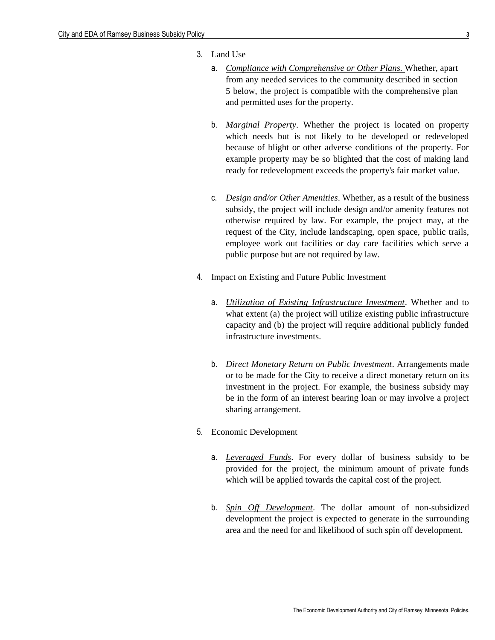- 3. Land Use
	- a. *Compliance with Comprehensive or Other Plans.* Whether, apart from any needed services to the community described in section 5 below, the project is compatible with the comprehensive plan and permitted uses for the property.
	- b. *Marginal Property*. Whether the project is located on property which needs but is not likely to be developed or redeveloped because of blight or other adverse conditions of the property. For example property may be so blighted that the cost of making land ready for redevelopment exceeds the property's fair market value.
	- c. *Design and/or Other Amenities*. Whether, as a result of the business subsidy, the project will include design and/or amenity features not otherwise required by law. For example, the project may, at the request of the City, include landscaping, open space, public trails, employee work out facilities or day care facilities which serve a public purpose but are not required by law.
- 4. Impact on Existing and Future Public Investment
	- a. *Utilization of Existing Infrastructure Investment*. Whether and to what extent (a) the project will utilize existing public infrastructure capacity and (b) the project will require additional publicly funded infrastructure investments.
	- b. *Direct Monetary Return on Public Investment*. Arrangements made or to be made for the City to receive a direct monetary return on its investment in the project. For example, the business subsidy may be in the form of an interest bearing loan or may involve a project sharing arrangement.
- 5. Economic Development
	- a. *Leveraged Funds*. For every dollar of business subsidy to be provided for the project, the minimum amount of private funds which will be applied towards the capital cost of the project.
	- b. *Spin Off Development*. The dollar amount of non-subsidized development the project is expected to generate in the surrounding area and the need for and likelihood of such spin off development.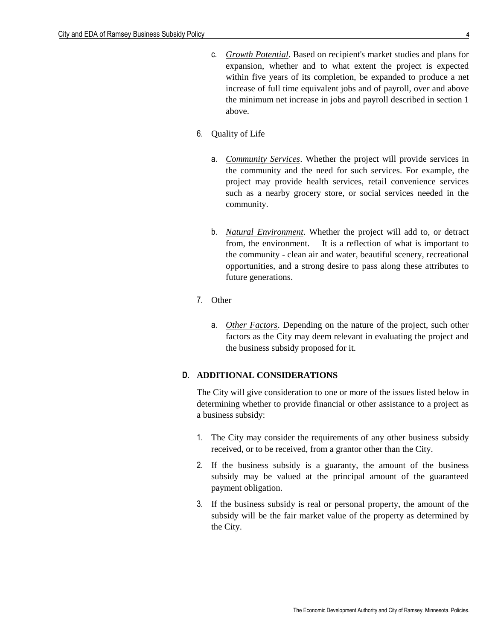- c. *Growth Potential*. Based on recipient's market studies and plans for expansion, whether and to what extent the project is expected within five years of its completion, be expanded to produce a net increase of full time equivalent jobs and of payroll, over and above the minimum net increase in jobs and payroll described in section 1 above.
- 6. Quality of Life
	- a. *Community Services*. Whether the project will provide services in the community and the need for such services. For example, the project may provide health services, retail convenience services such as a nearby grocery store, or social services needed in the community.
	- b. *Natural Environment*. Whether the project will add to, or detract from, the environment. It is a reflection of what is important to the community - clean air and water, beautiful scenery, recreational opportunities, and a strong desire to pass along these attributes to future generations.
- 7. Other
	- a. *Other Factors*. Depending on the nature of the project, such other factors as the City may deem relevant in evaluating the project and the business subsidy proposed for it.

#### **D. ADDITIONAL CONSIDERATIONS**

The City will give consideration to one or more of the issues listed below in determining whether to provide financial or other assistance to a project as a business subsidy:

- 1. The City may consider the requirements of any other business subsidy received, or to be received, from a grantor other than the City.
- 2. If the business subsidy is a guaranty, the amount of the business subsidy may be valued at the principal amount of the guaranteed payment obligation.
- 3. If the business subsidy is real or personal property, the amount of the subsidy will be the fair market value of the property as determined by the City.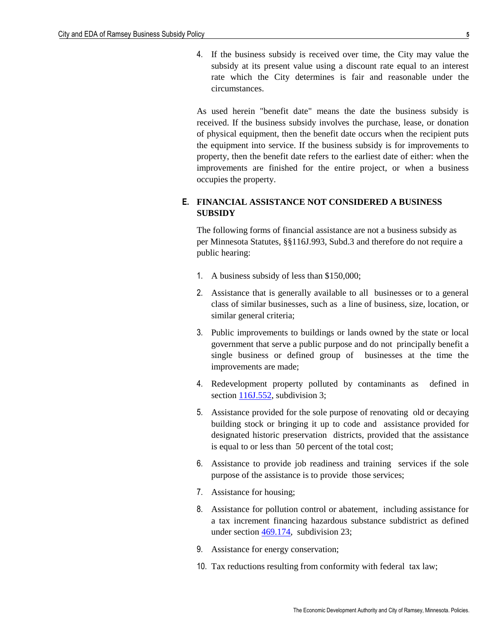4. If the business subsidy is received over time, the City may value the subsidy at its present value using a discount rate equal to an interest rate which the City determines is fair and reasonable under the circumstances.

As used herein "benefit date" means the date the business subsidy is received. If the business subsidy involves the purchase, lease, or donation of physical equipment, then the benefit date occurs when the recipient puts the equipment into service. If the business subsidy is for improvements to property, then the benefit date refers to the earliest date of either: when the improvements are finished for the entire project, or when a business occupies the property.

# **E. FINANCIAL ASSISTANCE NOT CONSIDERED A BUSINESS SUBSIDY**

The following forms of financial assistance are not a business subsidy as per Minnesota Statutes, §§116J.993, Subd.3 and therefore do not require a public hearing:

- 1. A business subsidy of less than \$150,000;
- 2. Assistance that is generally available to all businesses or to a general class of similar businesses, such as a line of business, size, location, or similar general criteria;
- 3. Public improvements to buildings or lands owned by the state or local government that serve a public purpose and do not principally benefit a single business or defined group of businesses at the time the improvements are made;
- 4. Redevelopment property polluted by contaminants as defined in section [116J.552,](http://www.revisor.leg.state.mn.us/stats/116J/552.html) subdivision 3;
- 5. Assistance provided for the sole purpose of renovating old or decaying building stock or bringing it up to code and assistance provided for designated historic preservation districts, provided that the assistance is equal to or less than 50 percent of the total cost;
- 6. Assistance to provide job readiness and training services if the sole purpose of the assistance is to provide those services;
- 7. Assistance for housing;
- 8. Assistance for pollution control or abatement, including assistance for a tax increment financing hazardous substance subdistrict as defined under section  $\frac{469.174}{23}$ ;
- 9. Assistance for energy conservation;
- 10. Tax reductions resulting from conformity with federal tax law;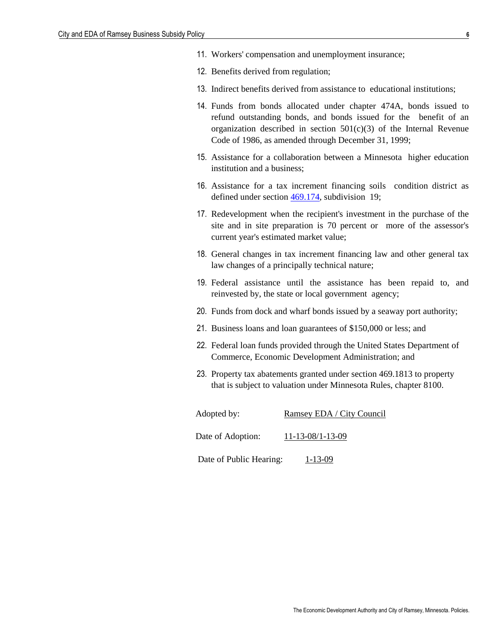- 11. Workers' compensation and unemployment insurance;
- 12. Benefits derived from regulation;
- 13. Indirect benefits derived from assistance to educational institutions;
- 14. Funds from bonds allocated under chapter 474A, bonds issued to refund outstanding bonds, and bonds issued for the benefit of an organization described in section  $501(c)(3)$  of the Internal Revenue Code of 1986, as amended through December 31, 1999;
- 15. Assistance for a collaboration between a Minnesota higher education institution and a business;
- 16. Assistance for a tax increment financing soils condition district as defined under section  $\frac{469.174}{469.174}$ , subdivision 19;
- 17. Redevelopment when the recipient's investment in the purchase of the site and in site preparation is 70 percent or more of the assessor's current year's estimated market value;
- 18. General changes in tax increment financing law and other general tax law changes of a principally technical nature;
- 19. Federal assistance until the assistance has been repaid to, and reinvested by, the state or local government agency;
- 20. Funds from dock and wharf bonds issued by a seaway port authority;
- 21. Business loans and loan guarantees of \$150,000 or less; and
- 22. Federal loan funds provided through the United States Department of Commerce, Economic Development Administration; and
- 23. Property tax abatements granted under section [469.1813](http://www.revisor.leg.state.mn.us/bin/getpub.php?type=s&num=469.1813&year=2006) to property that is subject to valuation under Minnesota Rules, chapter 8100.

| Adopted by:             | Ramsey EDA / City Council  |
|-------------------------|----------------------------|
| Date of Adoption:       | $11 - 13 - 08/1 - 13 - 09$ |
| Date of Public Hearing: | $1 - 13 - 09$              |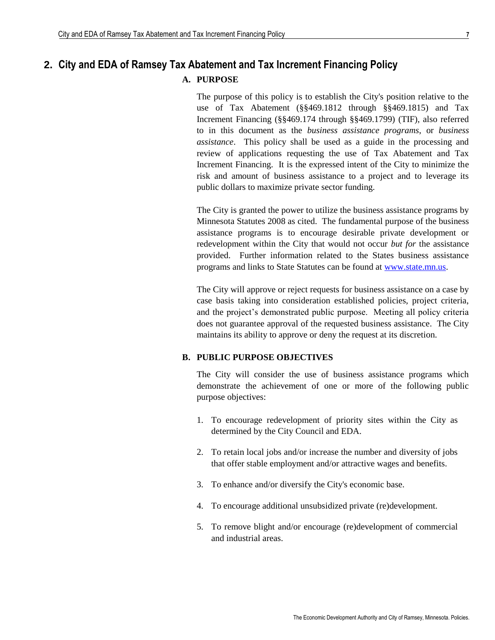# **2. City and EDA of Ramsey Tax Abatement and Tax Increment Financing Policy**

## **A. PURPOSE**

The purpose of this policy is to establish the City's position relative to the use of Tax Abatement (§§469.1812 through §§469.1815) and Tax Increment Financing (§§469.174 through §§469.1799) (TIF), also referred to in this document as the *business assistance programs*, or *business assistance*. This policy shall be used as a guide in the processing and review of applications requesting the use of Tax Abatement and Tax Increment Financing. It is the expressed intent of the City to minimize the risk and amount of business assistance to a project and to leverage its public dollars to maximize private sector funding.

The City is granted the power to utilize the business assistance programs by Minnesota Statutes 2008 as cited. The fundamental purpose of the business assistance programs is to encourage desirable private development or redevelopment within the City that would not occur *but for* the assistance provided. Further information related to the States business assistance programs and links to State Statutes can be found at [www.state.mn.us.](http://www.state.mn.us/)

The City will approve or reject requests for business assistance on a case by case basis taking into consideration established policies, project criteria, and the project's demonstrated public purpose. Meeting all policy criteria does not guarantee approval of the requested business assistance. The City maintains its ability to approve or deny the request at its discretion.

## **B. PUBLIC PURPOSE OBJECTIVES**

The City will consider the use of business assistance programs which demonstrate the achievement of one or more of the following public purpose objectives:

- 1. To encourage redevelopment of priority sites within the City as determined by the City Council and EDA.
- 2. To retain local jobs and/or increase the number and diversity of jobs that offer stable employment and/or attractive wages and benefits.
- 3. To enhance and/or diversify the City's economic base.
- 4. To encourage additional unsubsidized private (re)development.
- 5. To remove blight and/or encourage (re)development of commercial and industrial areas.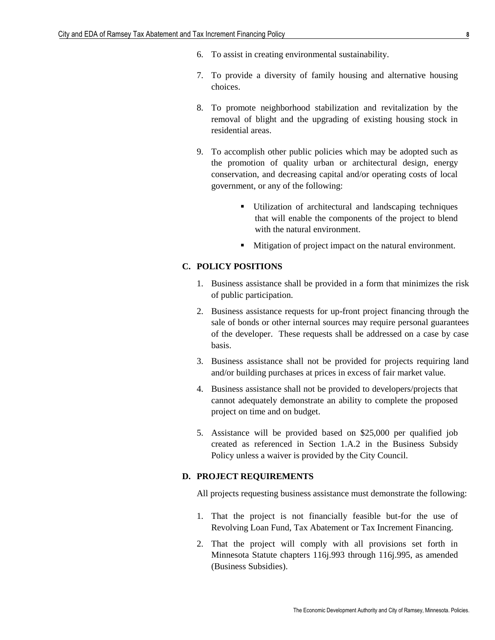- 6. To assist in creating environmental sustainability.
- 7. To provide a diversity of family housing and alternative housing choices.
- 8. To promote neighborhood stabilization and revitalization by the removal of blight and the upgrading of existing housing stock in residential areas.
- 9. To accomplish other public policies which may be adopted such as the promotion of quality urban or architectural design, energy conservation, and decreasing capital and/or operating costs of local government, or any of the following:
	- Utilization of architectural and landscaping techniques that will enable the components of the project to blend with the natural environment.
	- **Mitigation of project impact on the natural environment.**

# **C. POLICY POSITIONS**

- 1. Business assistance shall be provided in a form that minimizes the risk of public participation.
- 2. Business assistance requests for up-front project financing through the sale of bonds or other internal sources may require personal guarantees of the developer. These requests shall be addressed on a case by case basis.
- 3. Business assistance shall not be provided for projects requiring land and/or building purchases at prices in excess of fair market value.
- 4. Business assistance shall not be provided to developers/projects that cannot adequately demonstrate an ability to complete the proposed project on time and on budget.
- 5. Assistance will be provided based on \$25,000 per qualified job created as referenced in Section 1.A.2 in the Business Subsidy Policy unless a waiver is provided by the City Council.

#### **D. PROJECT REQUIREMENTS**

All projects requesting business assistance must demonstrate the following:

- 1. That the project is not financially feasible but-for the use of Revolving Loan Fund, Tax Abatement or Tax Increment Financing.
- 2. That the project will comply with all provisions set forth in Minnesota Statute chapters 116j.993 through 116j.995, as amended (Business Subsidies).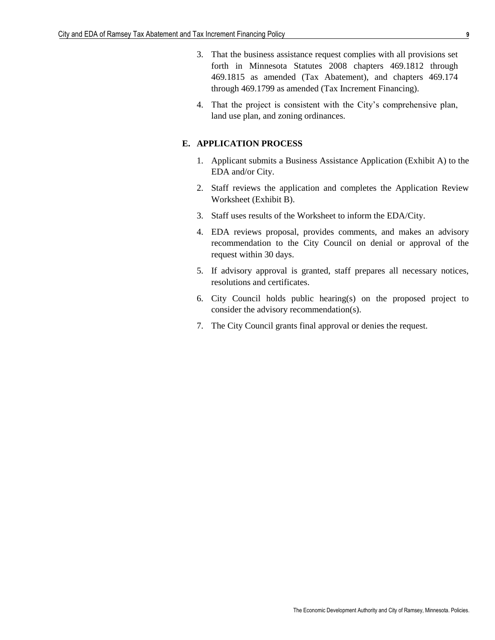- 3. That the business assistance request complies with all provisions set forth in Minnesota Statutes 2008 chapters 469.1812 through 469.1815 as amended (Tax Abatement), and chapters 469.174 through 469.1799 as amended (Tax Increment Financing).
- 4. That the project is consistent with the City's comprehensive plan, land use plan, and zoning ordinances.

#### **E. APPLICATION PROCESS**

- 1. Applicant submits a Business Assistance Application (Exhibit A) to the EDA and/or City.
- 2. Staff reviews the application and completes the Application Review Worksheet (Exhibit B).
- 3. Staff uses results of the Worksheet to inform the EDA/City.
- 4. EDA reviews proposal, provides comments, and makes an advisory recommendation to the City Council on denial or approval of the request within 30 days.
- 5. If advisory approval is granted, staff prepares all necessary notices, resolutions and certificates.
- 6. City Council holds public hearing(s) on the proposed project to consider the advisory recommendation(s).
- 7. The City Council grants final approval or denies the request.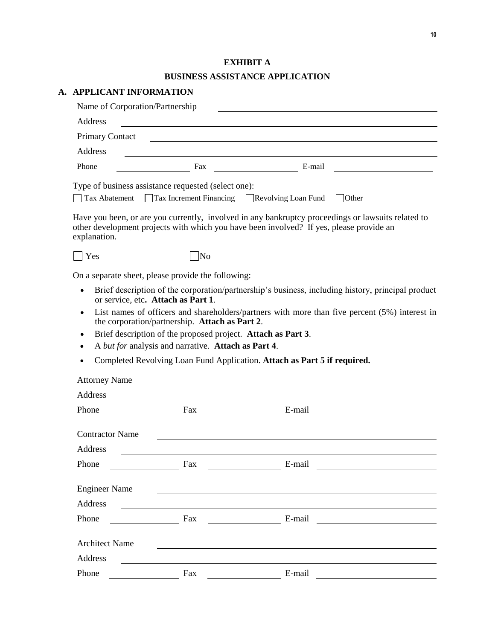# **EXHIBIT A**

# **BUSINESS ASSISTANCE APPLICATION**

# **A. APPLICANT INFORMATION**

| Name of Corporation/Partnership |                                                                                                                      |                                                                                                                                                                                               |  |
|---------------------------------|----------------------------------------------------------------------------------------------------------------------|-----------------------------------------------------------------------------------------------------------------------------------------------------------------------------------------------|--|
| Address                         | <u> 1980 - Johann Barbara, martxa alemaniar arg</u>                                                                  |                                                                                                                                                                                               |  |
| <b>Primary Contact</b>          |                                                                                                                      |                                                                                                                                                                                               |  |
| Address                         |                                                                                                                      |                                                                                                                                                                                               |  |
| Phone                           | E-mail Fax E-mail                                                                                                    |                                                                                                                                                                                               |  |
|                                 | Type of business assistance requested (select one):<br>Tax Abatement Tax Increment Financing Revolving Loan Fund     | $\vert$ Other                                                                                                                                                                                 |  |
| explanation.                    |                                                                                                                      | Have you been, or are you currently, involved in any bankruptcy proceedings or lawsuits related to<br>other development projects with which you have been involved? If yes, please provide an |  |
| $\vert$ Yes                     | $\Box$ No                                                                                                            |                                                                                                                                                                                               |  |
|                                 | On a separate sheet, please provide the following:                                                                   |                                                                                                                                                                                               |  |
| $\bullet$                       | or service, etc. Attach as Part 1.                                                                                   | Brief description of the corporation/partnership's business, including history, principal product                                                                                             |  |
| $\bullet$                       | the corporation/partnership. Attach as Part 2.<br>Brief description of the proposed project. Attach as Part 3.       | List names of officers and shareholders/partners with more than five percent (5%) interest in                                                                                                 |  |
| $\bullet$                       | A but for analysis and narrative. Attach as Part 4.                                                                  |                                                                                                                                                                                               |  |
|                                 |                                                                                                                      | Completed Revolving Loan Fund Application. Attach as Part 5 if required.                                                                                                                      |  |
| <b>Attorney Name</b>            |                                                                                                                      |                                                                                                                                                                                               |  |
| Address                         | <u> 1980 - Jan Stein Stein Stein Stein Stein Stein Stein Stein Stein Stein Stein Stein Stein Stein Stein Stein S</u> |                                                                                                                                                                                               |  |
| Phone                           | Fax                                                                                                                  | E-mail                                                                                                                                                                                        |  |
| <b>Contractor Name</b>          |                                                                                                                      |                                                                                                                                                                                               |  |
| Address                         |                                                                                                                      |                                                                                                                                                                                               |  |
| Phone                           | Fax                                                                                                                  | E-mail                                                                                                                                                                                        |  |
| <b>Engineer Name</b>            |                                                                                                                      |                                                                                                                                                                                               |  |
| Address                         | the control of the control of the control of the control of the control of the control of                            |                                                                                                                                                                                               |  |
| Phone                           |                                                                                                                      |                                                                                                                                                                                               |  |
| <b>Architect Name</b>           |                                                                                                                      |                                                                                                                                                                                               |  |
| Address                         |                                                                                                                      |                                                                                                                                                                                               |  |
| Phone                           | Fax                                                                                                                  | E-mail                                                                                                                                                                                        |  |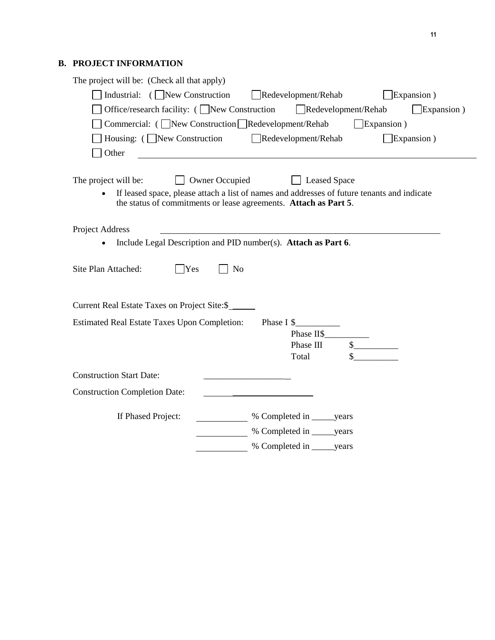# **B. PROJECT INFORMATION**

| The project will be: (Check all that apply)                                                                                                            |
|--------------------------------------------------------------------------------------------------------------------------------------------------------|
| Industrial: $(\Box)$ New Construction<br>Redevelopment/Rehab<br>$\Box$ Expansion)                                                                      |
| Office/research facility: (New Construction Redevelopment/Rehab<br>$\Box$ Expansion )                                                                  |
| Commercial: ( New Construction Redevelopment/Rehab<br>$\Box$ Expansion)                                                                                |
| $\Box$ Expansion)<br>Housing: ( New Construction Redevelopment/Rehab                                                                                   |
|                                                                                                                                                        |
| Other                                                                                                                                                  |
|                                                                                                                                                        |
| The project will be:<br>□ Owner Occupied □ Leased Space<br>If leased space, please attach a list of names and addresses of future tenants and indicate |
| the status of commitments or lease agreements. Attach as Part 5.                                                                                       |
|                                                                                                                                                        |
| Project Address                                                                                                                                        |
| Include Legal Description and PID number(s). Attach as Part 6.                                                                                         |
|                                                                                                                                                        |
| $\Box$ Yes<br>Site Plan Attached:<br>N <sub>o</sub>                                                                                                    |
|                                                                                                                                                        |
|                                                                                                                                                        |
| Current Real Estate Taxes on Project Site:\$                                                                                                           |
| <b>Estimated Real Estate Taxes Upon Completion:</b><br>Phase $I \$                                                                                     |
| s<br>Phase III                                                                                                                                         |
| Total                                                                                                                                                  |
|                                                                                                                                                        |
| <b>Construction Start Date:</b>                                                                                                                        |
| <b>Construction Completion Date:</b>                                                                                                                   |
|                                                                                                                                                        |
| If Phased Project:                                                                                                                                     |
| % Completed in _______ years                                                                                                                           |
| % Completed in _______years                                                                                                                            |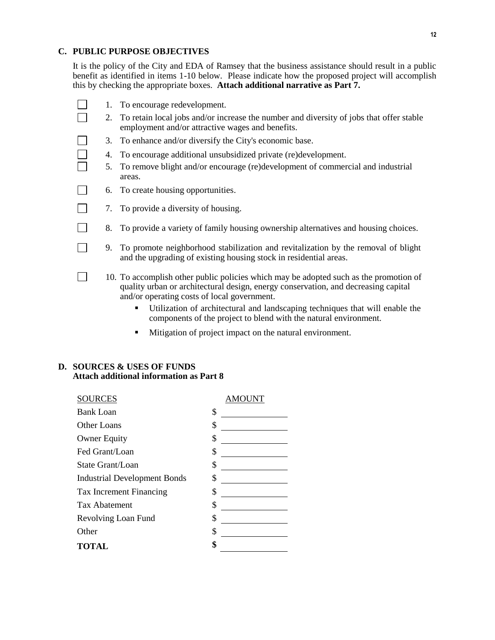#### **C. PUBLIC PURPOSE OBJECTIVES**

It is the policy of the City and EDA of Ramsey that the business assistance should result in a public benefit as identified in items 1-10 below. Please indicate how the proposed project will accomplish this by checking the appropriate boxes. **Attach additional narrative as Part 7.**

|        |    | 1. To encourage redevelopment.                                                                                                                                                                                             |
|--------|----|----------------------------------------------------------------------------------------------------------------------------------------------------------------------------------------------------------------------------|
|        | 2. | To retain local jobs and/or increase the number and diversity of jobs that offer stable<br>employment and/or attractive wages and benefits.                                                                                |
| $\Box$ |    | 3. To enhance and/or diversify the City's economic base.                                                                                                                                                                   |
|        | 4. | To encourage additional unsubsidized private (re)development.                                                                                                                                                              |
|        | 5. | To remove blight and/or encourage (re)development of commercial and industrial<br>areas.                                                                                                                                   |
| L      |    | 6. To create housing opportunities.                                                                                                                                                                                        |
|        |    | 7. To provide a diversity of housing.                                                                                                                                                                                      |
|        | 8. | To provide a variety of family housing ownership alternatives and housing choices.                                                                                                                                         |
|        | 9. | To promote neighborhood stabilization and revitalization by the removal of blight<br>and the upgrading of existing housing stock in residential areas.                                                                     |
|        |    | 10. To accomplish other public policies which may be adopted such as the promotion of<br>quality urban or architectural design, energy conservation, and decreasing capital<br>and/or operating costs of local government. |
|        |    | Utilization of architectural and landscaping techniques that will enable the<br>٠<br>components of the project to blend with the natural environment.                                                                      |

Mitigation of project impact on the natural environment.

## **D. SOURCES & USES OF FUNDS Attach additional information as Part 8**

| <b>SOURCES</b>                      |    |
|-------------------------------------|----|
| <b>Bank Loan</b>                    | \$ |
| Other Loans                         | \$ |
| <b>Owner Equity</b>                 | \$ |
| Fed Grant/Loan                      | \$ |
| State Grant/Loan                    | \$ |
| <b>Industrial Development Bonds</b> | \$ |
| Tax Increment Financing             | \$ |
| <b>Tax Abatement</b>                | \$ |
| Revolving Loan Fund                 | \$ |
| Other                               | \$ |
| <b>TOTAL</b>                        | \$ |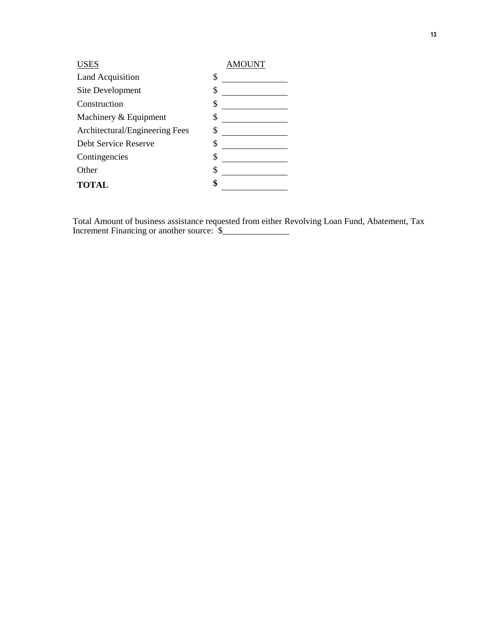| <b>USES</b>                    | AMOUNT |
|--------------------------------|--------|
| <b>Land Acquisition</b>        | \$     |
| Site Development               | \$     |
| Construction                   | \$     |
| Machinery & Equipment          | \$     |
| Architectural/Engineering Fees | \$     |
| Debt Service Reserve           | \$     |
| Contingencies                  | \$     |
| Other                          | \$     |
| <b>TOTAL</b>                   | ¢      |

Total Amount of business assistance requested from either Revolving Loan Fund, Abatement, Tax Increment Financing or another source: \$\_\_\_\_\_\_\_\_\_\_\_\_\_\_\_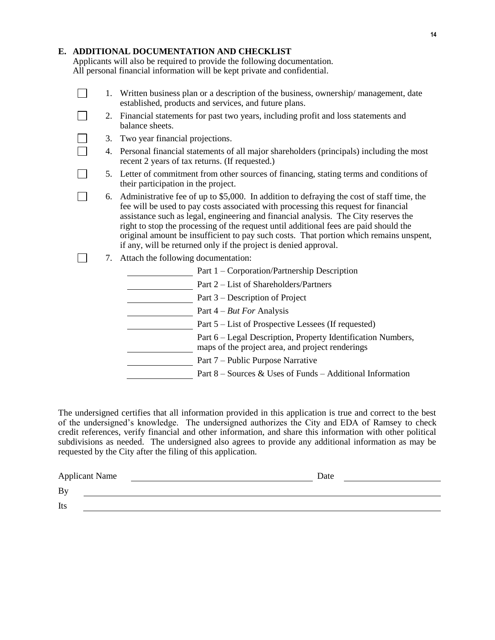#### **E. ADDITIONAL DOCUMENTATION AND CHECKLIST**

Applicants will also be required to provide the following documentation. All personal financial information will be kept private and confidential.

|    |                                                                                                                                                                                                                                                                                                                                                                                                                                                                                                                                | 1. Written business plan or a description of the business, ownership/management, date<br>established, products and services, and future plans. |  |
|----|--------------------------------------------------------------------------------------------------------------------------------------------------------------------------------------------------------------------------------------------------------------------------------------------------------------------------------------------------------------------------------------------------------------------------------------------------------------------------------------------------------------------------------|------------------------------------------------------------------------------------------------------------------------------------------------|--|
| 2. | balance sheets.                                                                                                                                                                                                                                                                                                                                                                                                                                                                                                                | Financial statements for past two years, including profit and loss statements and                                                              |  |
| 3. | Two year financial projections.                                                                                                                                                                                                                                                                                                                                                                                                                                                                                                |                                                                                                                                                |  |
| 4. | Personal financial statements of all major shareholders (principals) including the most<br>recent 2 years of tax returns. (If requested.)                                                                                                                                                                                                                                                                                                                                                                                      |                                                                                                                                                |  |
| 5. | their participation in the project.                                                                                                                                                                                                                                                                                                                                                                                                                                                                                            | Letter of commitment from other sources of financing, stating terms and conditions of                                                          |  |
| 6. | Administrative fee of up to \$5,000. In addition to defraying the cost of staff time, the<br>fee will be used to pay costs associated with processing this request for financial<br>assistance such as legal, engineering and financial analysis. The City reserves the<br>right to stop the processing of the request until additional fees are paid should the<br>original amount be insufficient to pay such costs. That portion which remains unspent,<br>if any, will be returned only if the project is denied approval. |                                                                                                                                                |  |
| 7. | Attach the following documentation:                                                                                                                                                                                                                                                                                                                                                                                                                                                                                            |                                                                                                                                                |  |
|    |                                                                                                                                                                                                                                                                                                                                                                                                                                                                                                                                | Part 1 - Corporation/Partnership Description                                                                                                   |  |
|    |                                                                                                                                                                                                                                                                                                                                                                                                                                                                                                                                | Part 2 – List of Shareholders/Partners                                                                                                         |  |
|    |                                                                                                                                                                                                                                                                                                                                                                                                                                                                                                                                | Part 3 – Description of Project                                                                                                                |  |
|    |                                                                                                                                                                                                                                                                                                                                                                                                                                                                                                                                | Part $4 - But For Analysis$                                                                                                                    |  |
|    |                                                                                                                                                                                                                                                                                                                                                                                                                                                                                                                                | Part 5 – List of Prospective Lessees (If requested)                                                                                            |  |
|    |                                                                                                                                                                                                                                                                                                                                                                                                                                                                                                                                | Part 6 – Legal Description, Property Identification Numbers,<br>maps of the project area, and project renderings                               |  |
|    |                                                                                                                                                                                                                                                                                                                                                                                                                                                                                                                                | Part 7 – Public Purpose Narrative                                                                                                              |  |
|    |                                                                                                                                                                                                                                                                                                                                                                                                                                                                                                                                | Part 8 – Sources & Uses of Funds – Additional Information                                                                                      |  |

The undersigned certifies that all information provided in this application is true and correct to the best of the undersigned's knowledge. The undersigned authorizes the City and EDA of Ramsey to check credit references, verify financial and other information, and share this information with other political subdivisions as needed. The undersigned also agrees to provide any additional information as may be requested by the City after the filing of this application.

| <b>Applicant Name</b> | Date |
|-----------------------|------|
| By                    |      |
| Its                   |      |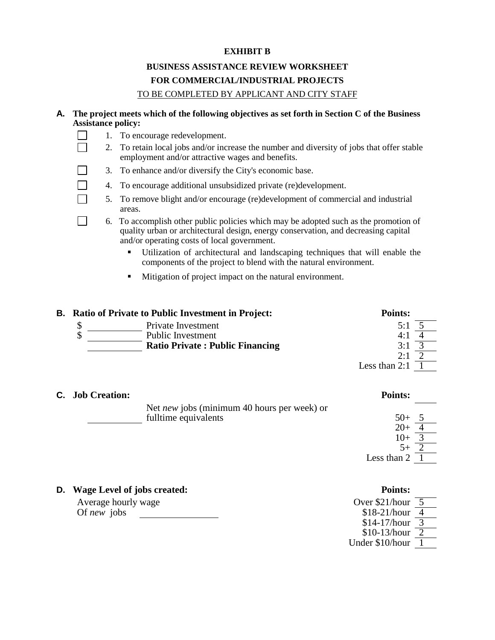#### **EXHIBIT B**

# **BUSINESS ASSISTANCE REVIEW WORKSHEET FOR COMMERCIAL/INDUSTRIAL PROJECTS** TO BE COMPLETED BY APPLICANT AND CITY STAFF

## **A. The project meets which of the following objectives as set forth in Section C of the Business Assistance policy:**

1. To encourage redevelopment. П

 $\Box$ 

- 2. To retain local jobs and/or increase the number and diversity of jobs that offer stable employment and/or attractive wages and benefits.
- 3. To enhance and/or diversify the City's economic base.
- 4. To encourage additional unsubsidized private (re)development.
- 5. To remove blight and/or encourage (re)development of commercial and industrial areas.

 6. To accomplish other public policies which may be adopted such as the promotion of quality urban or architectural design, energy conservation, and decreasing capital and/or operating costs of local government.

- Utilization of architectural and landscaping techniques that will enable the components of the project to blend with the natural environment.
- **Mitigation of project impact on the natural environment.**

| <b>B.</b> Ratio of Private to Public Investment in Project: | <b>Points:</b>                         |                 |  |
|-------------------------------------------------------------|----------------------------------------|-----------------|--|
|                                                             | Private Investment                     | 5:1             |  |
| ¢<br>ιD                                                     | <b>Public Investment</b>               | 4:1             |  |
|                                                             | <b>Ratio Private: Public Financing</b> | 3:1             |  |
|                                                             |                                        | 2:1             |  |
|                                                             |                                        | Less than $2:1$ |  |

| <b>C.</b> Job Creation: |                                             | <b>Points:</b> |  |
|-------------------------|---------------------------------------------|----------------|--|
|                         | Net new jobs (minimum 40 hours per week) or |                |  |
|                         | fulltime equivalents                        | $50+ 5$        |  |
|                         |                                             | $20+$          |  |
|                         |                                             | $10+$          |  |
|                         |                                             | $5+$           |  |
|                         |                                             | Less than 2    |  |
|                         |                                             |                |  |

| <b>D.</b> Wage Level of jobs created: | <b>Points:</b>          |  |
|---------------------------------------|-------------------------|--|
| Average hourly wage                   | Over $$21/hour \quad 5$ |  |
| Of <i>new</i> jobs                    | $$18-21/hour \ 4$       |  |
|                                       | $$14-17/hour \; 3$      |  |
|                                       | $$10-13/hour \ 2$       |  |
|                                       | Under \$10/hour         |  |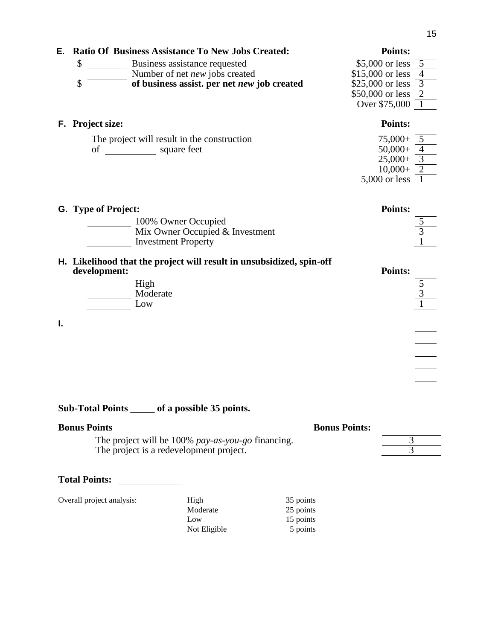| Е. | <b>Ratio Of Business Assistance To New Jobs Created:</b> | <b>Points:</b>       |
|----|----------------------------------------------------------|----------------------|
|    | \$<br>Business assistance requested                      | \$5,000 or less $5$  |
|    | Number of net new jobs created                           | \$15,000 or less     |
|    | of business assist. per net new job created<br>\$        | \$25,000 or less     |
|    |                                                          | \$50,000 or less $2$ |
|    |                                                          | Over \$75,000        |
| F. | <b>Project size:</b>                                     | <b>Points:</b>       |
|    | The project will result in the construction              | $75,000+$            |
|    | of<br>square feet                                        | $50,000+$            |
|    |                                                          | $25,000+$            |
|    |                                                          |                      |
|    |                                                          | $10,000+$            |

| <b>G.</b> Type of Project:      | <b>Points:</b> |
|---------------------------------|----------------|
| 100% Owner Occupied             |                |
| Mix Owner Occupied & Investment |                |
| <b>Investment Property</b>      |                |

#### **H. Likelihood that the project will result in unsubsidized, spin-off development: Points:**

| High     | ັ           |
|----------|-------------|
| Moderate | $\sim$<br>◡ |
| LOW      | ×           |

**I.**

**Sub-Total Points \_\_\_\_\_ of a possible 35 points.**

| <b>Bonus Points</b>                               | <b>Bonus Points:</b> |  |
|---------------------------------------------------|----------------------|--|
| The project will be 100% pay-as-you-go financing. |                      |  |
| The project is a redevelopment project.           |                      |  |

# **Total Points:**

| Overall project analysis: | High         | 35 points |
|---------------------------|--------------|-----------|
|                           | Moderate     | 25 points |
|                           | Low          | 15 points |
|                           | Not Eligible | 5 points  |
|                           |              |           |

 $\overline{\phantom{a}}$  $\frac{1}{1}$  $\frac{1}{\sqrt{2\pi}}\left( \frac{1}{\sqrt{2\pi}}\right) ^{2}$  $\overline{\phantom{a}}$  $\overline{\phantom{a}}$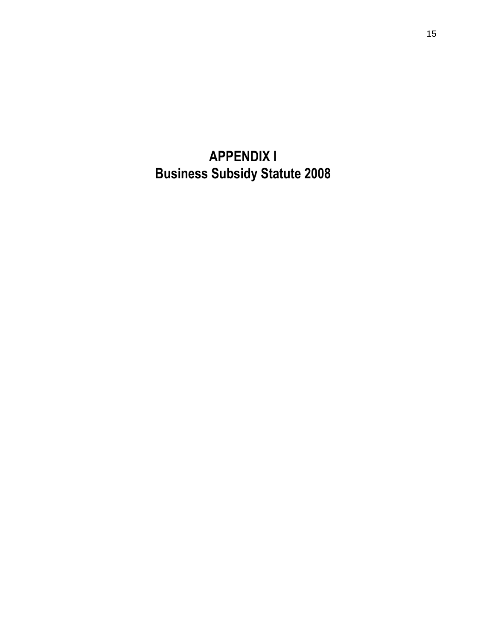**APPENDIX I Business Subsidy Statute 2008**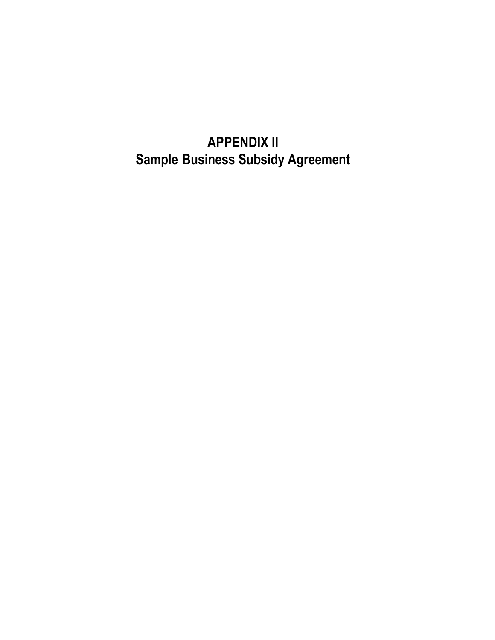# **APPENDIX II Sample Business Subsidy Agreement**